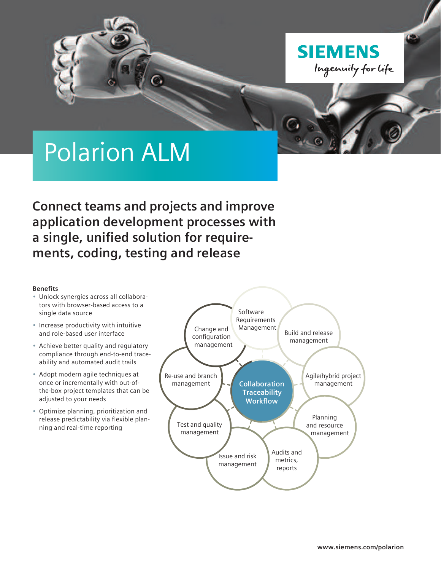

# Polarion ALM

**Connect teams and projects and improve application development processes with a single, unified solution for requirements, coding, testing and release**

# **Benefits**

- Unlock synergies across all collaborators with browser-based access to a single data source
- Increase productivity with intuitive and role-based user interface
- Achieve better quality and regulatory compliance through end-to-end traceability and automated audit trails
- Adopt modern agile techniques at once or incrementally with out-ofthe-box project templates that can be adjusted to your needs
- Optimize planning, prioritization and release predictability via flexible planning and real-time reporting